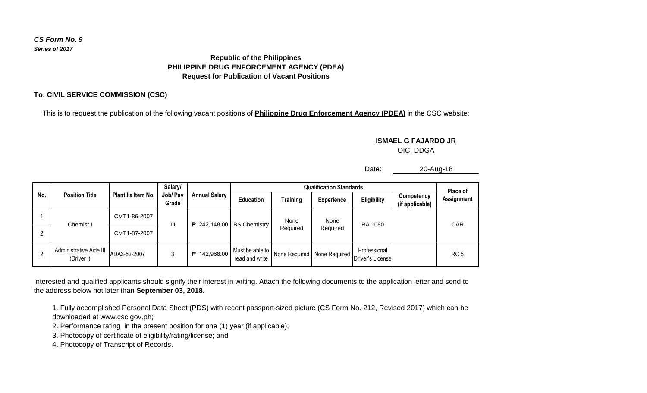## *CS Form No. 9 Series of 2017*

## **Republic of the Philippines PHILIPPINE DRUG ENFORCEMENT AGENCY (PDEA) Request for Publication of Vacant Positions**

## **To: CIVIL SERVICE COMMISSION (CSC)**

This is to request the publication of the following vacant positions of **Philippine Drug Enforcement Agency (PDEA)** in the CSC website:

**ISMAEL G FAJARDO JR** OIC, DDGA

Date: 20-Aug-18

| No. | <b>Position Title</b>                 | Plantilla Item No. | Salary/<br>Job/ Pay<br>Grade | <b>Annual Salary</b> | <b>Qualification Standards</b>         |                  |                               |                                  |                               | Place of          |
|-----|---------------------------------------|--------------------|------------------------------|----------------------|----------------------------------------|------------------|-------------------------------|----------------------------------|-------------------------------|-------------------|
|     |                                       |                    |                              |                      | <b>Education</b>                       | <b>Training</b>  | <b>Experience</b>             | Eligibility                      | Competency<br>(if applicable) | <b>Assignment</b> |
|     | Chemist I                             | CMT1-86-2007       | 11                           |                      | $\overline{P}$ 242,148.00 BS Chemistry | None<br>Required | None<br>Required              | RA 1080                          |                               | <b>CAR</b>        |
|     |                                       | CMT1-87-2007       |                              |                      |                                        |                  |                               |                                  |                               |                   |
|     | Administrative Aide III<br>(Driver I) | ADA3-52-2007       |                              | 142,968.00<br>₱      | Must be able to<br>read and write      |                  | None Required   None Required | Professional<br>Driver's License |                               | <b>RO5</b>        |

Interested and qualified applicants should signify their interest in writing. Attach the following documents to the application letter and send to the address below not later than **September 03, 2018.**

1. Fully accomplished Personal Data Sheet (PDS) with recent passport-sized picture (CS Form No. 212, Revised 2017) which can be downloaded at www.csc.gov.ph;

2. Performance rating in the present position for one (1) year (if applicable);

3. Photocopy of certificate of eligibility/rating/license; and

4. Photocopy of Transcript of Records.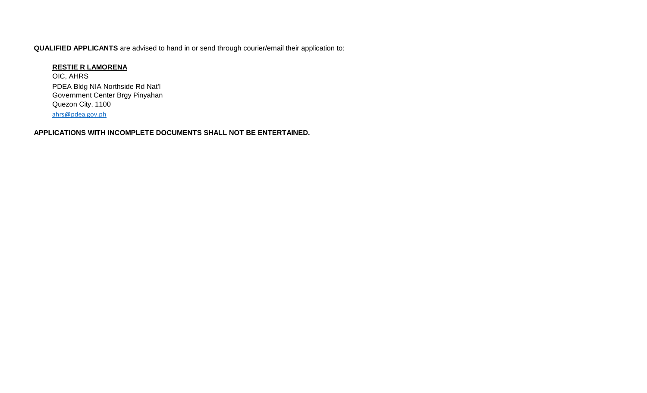**QUALIFIED APPLICANTS** are advised to hand in or send through courier/email their application to:

## **RESTIE R LAMORENA**

OIC, AHRS PDEA Bldg NIA Northside Rd Nat'l Government Center Brgy Pinyahan Quezon City, 1100 [ahrs@pdea.gov.ph](mailto:ahrs@pdea.gov.ph)

**APPLICATIONS WITH INCOMPLETE DOCUMENTS SHALL NOT BE ENTERTAINED.**